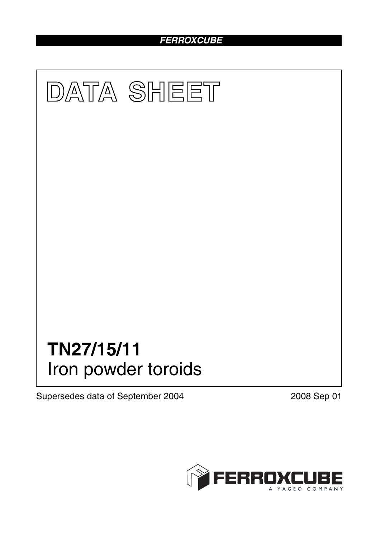# *FERROXCUBE*



Supersedes data of September 2004 2008 Sep 01

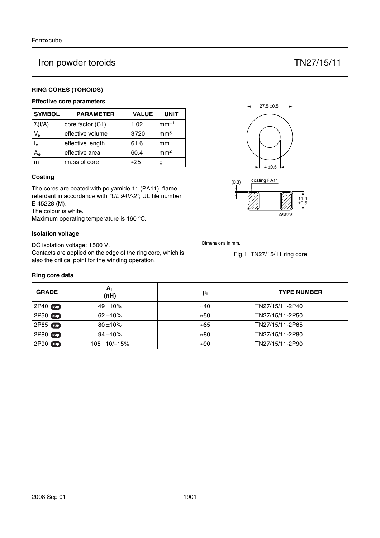# Iron powder toroids TN27/15/11

## **RING CORES (TOROIDS)**

## **Effective core parameters**

| <b>SYMBOL</b>           | <b>PARAMETER</b> | <b>VALUE</b> | <b>UNIT</b>     |
|-------------------------|------------------|--------------|-----------------|
| $\Sigma(I/A)$           | core factor (C1) | 1.02         | $mm^{-1}$       |
| $V_{e}$                 | effective volume | 3720         | mm <sup>3</sup> |
| $\mathsf{I}_\mathsf{e}$ | effective length | 61.6         | mm              |
|                         | effective area   | 60.4         | mm <sup>2</sup> |
| m                       | mass of core     | $\approx$ 25 | g               |

#### **Coating**

The cores are coated with polyamide 11 (PA11), flame retardant in accordance with *"UL 94V-2"*; UL file number E 45228 (M).

The colour is white.

Maximum operating temperature is 160 °C.

#### **Isolation voltage**

DC isolation voltage: 1500 V.

Contacts are applied on the edge of the ring core, which is also the critical point for the winding operation.

#### **Ring core data**

| <b>GRADE</b>    | $A_{L}$<br>(nH) | μi           | <b>TYPE NUMBER</b> |
|-----------------|-----------------|--------------|--------------------|
| 2P40 <b>Sup</b> | $49 + 10%$      | $\approx 40$ | TN27/15/11-2P40    |
| $2P50$ sup      | $62 + 10\%$     | $\approx 50$ | TN27/15/11-2P50    |
| 2P65 sup        | $80 + 10%$      | $\approx 65$ | TN27/15/11-2P65    |
| 2P80<br>[sup]   | $94 + 10%$      | $\approx 80$ | TN27/15/11-2P80    |
| 2P90<br>[sup]   | $105 + 10/-15%$ | $\approx 90$ | TN27/15/11-2P90    |